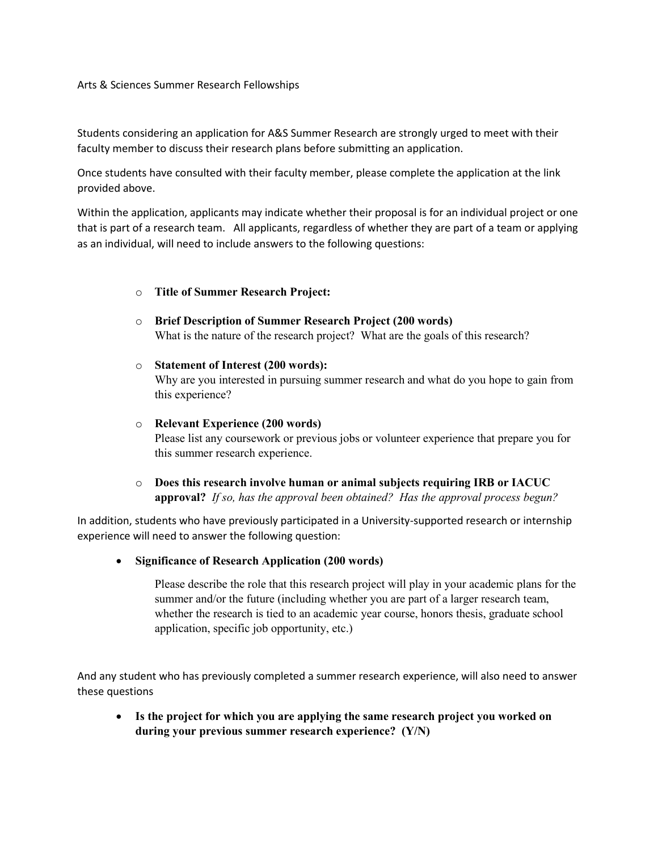## Arts & Sciences Summer Research Fellowships

Students considering an application for A&S Summer Research are strongly urged to meet with their faculty member to discuss their research plans before submitting an application.

Once students have consulted with their faculty member, please complete the application at the link provided above.

Within the application, applicants may indicate whether their proposal is for an individual project or one that is part of a research team. All applicants, regardless of whether they are part of a team or applying as an individual, will need to include answers to the following questions:

## o **Title of Summer Research Project:**

- o **Brief Description of Summer Research Project (200 words)** What is the nature of the research project? What are the goals of this research?
- o **Statement of Interest (200 words):** Why are you interested in pursuing summer research and what do you hope to gain from this experience?
- o **Relevant Experience (200 words)** Please list any coursework or previous jobs or volunteer experience that prepare you for this summer research experience.
- o **Does this research involve human or animal subjects requiring IRB or IACUC approval?** *If so, has the approval been obtained? Has the approval process begun?*

In addition, students who have previously participated in a University-supported research or internship experience will need to answer the following question:

• **Significance of Research Application (200 words)**

Please describe the role that this research project will play in your academic plans for the summer and/or the future (including whether you are part of a larger research team, whether the research is tied to an academic year course, honors thesis, graduate school application, specific job opportunity, etc.)

And any student who has previously completed a summer research experience, will also need to answer these questions

• **Is the project for which you are applying the same research project you worked on during your previous summer research experience? (Y/N)**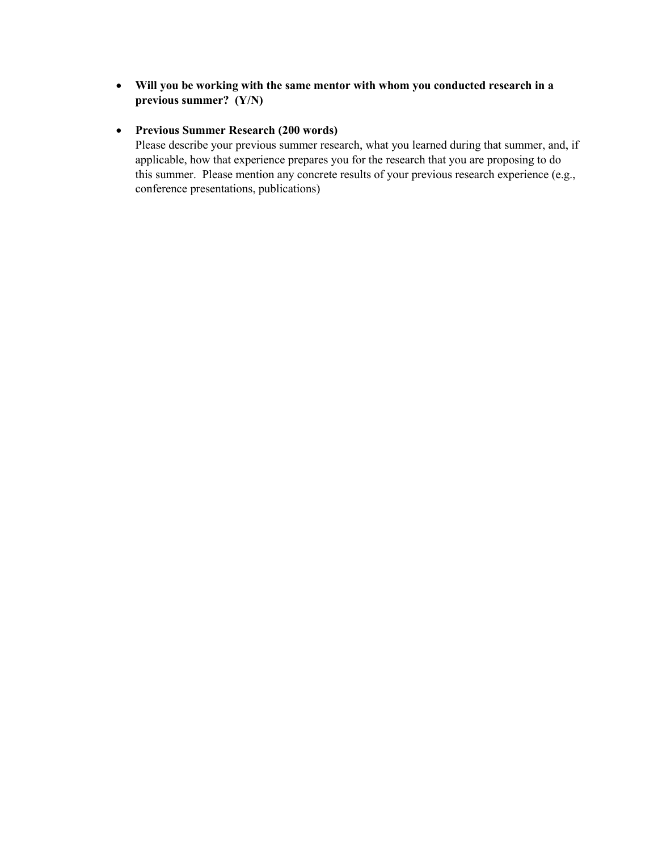• **Will you be working with the same mentor with whom you conducted research in a previous summer? (Y/N)**

## • **Previous Summer Research (200 words)**

Please describe your previous summer research, what you learned during that summer, and, if applicable, how that experience prepares you for the research that you are proposing to do this summer. Please mention any concrete results of your previous research experience (e.g., conference presentations, publications)